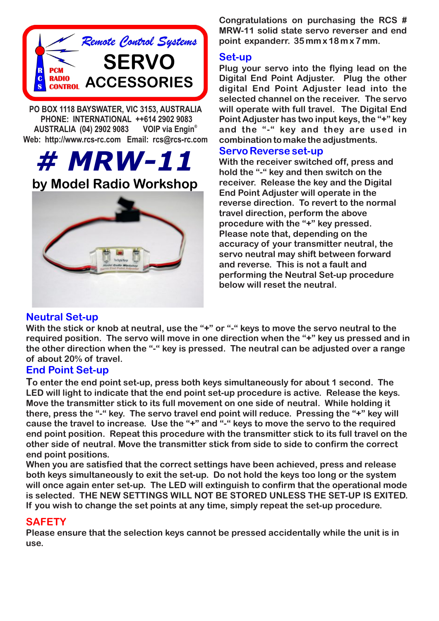

**PO BOX 1118 BAYSWATER, VIC 3153, AUSTRALIA PHONE: INTERNATIONAL ++614 2902 9083 VOIP** via Engin<sup>®</sup> **AUSTRALIA (04) 2902 9083 Web: http://www.rcs-rc.com Email: rcs@rcs-rc.com**

# *# MRW-11* **by Model Radio Workshop**



**Congratulations on purchasing the RCS # MRW-11 solid state servo reverser and end point expanderr. 35 mm x 18 m x 7 mm.**

#### **Set-up**

**Plug your servo into the flying lead on the Digital End Point Adjuster. Plug the other digital End Point Adjuster lead into the selected channel on the receiver. The servo will operate with full travel. The Digital End Point Adjuster has two input keys, the "+" key and the "-" key and they are used in combination to make the adjustments.**

#### **Servo Reverse set-up**

**With the receiver switched off, press and hold the "-" key and then switch on the receiver. Release the key and the Digital End Point Adjuster will operate in the reverse direction. To revert to the normal travel direction, perform the above procedure with the "+" key pressed. Please note that, depending on the accuracy of your transmitter neutral, the servo neutral may shift between forward and reverse. This is not a fault and performing the Neutral Set-up procedure below will reset the neutral.**

## **Neutral Set-up**

With the stick or knob at neutral, use the "+" or "-" keys to move the servo neutral to the **required position. The servo will move in one direction when the "+" key us pressed and in the other direction when the "-" key is pressed. The neutral can be adjusted over a range of about 20% of travel.**

## **End Point Set-up**

**To enter the end point set-up, press both keys simultaneously for about 1 second. The LED will light to indicate that the end point set-up procedure is active. Release the keys. Move the transmitter stick to its full movement on one side of neutral. While holding it there, press the "-" key. The servo travel end point will reduce. Pressing the "+" key will cause the travel to increase. Use the "+" and "-" keys to move the servo to the required end point position. Repeat this procedure with the transmitter stick to its full travel on the other side of neutral. Move the transmitter stick from side to side to confirm the correct end point positions.**

**When you are satisfied that the correct settings have been achieved, press and release both keys simultaneously to exit the set-up. Do not hold the keys too long or the system will once again enter set-up. The LED will extinguish to confirm that the operational mode is selected. THE NEW SETTINGS WILL NOT BE STORED UNLESS THE SET-UP IS EXITED. If you wish to change the set points at any time, simply repeat the set-up procedure.**

## **SAFETY**

**Please ensure that the selection keys cannot be pressed accidentally while the unit is in use.**